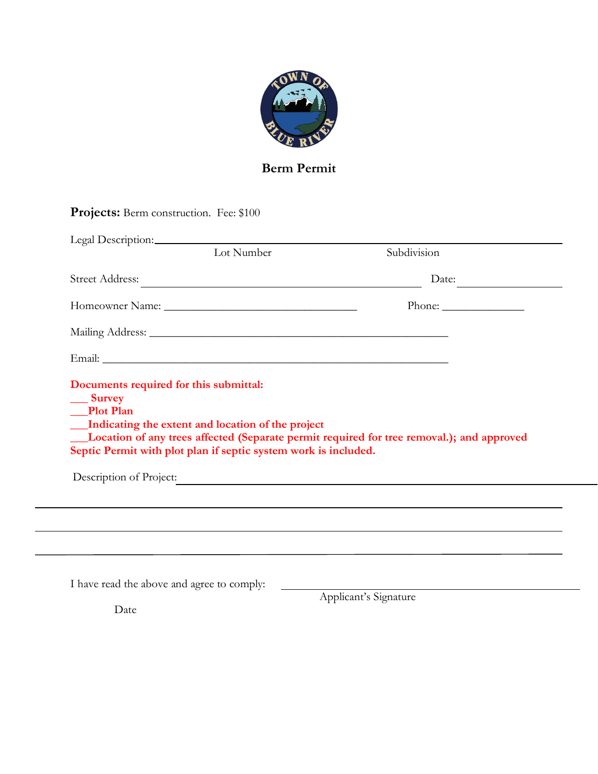

# **Berm Permit**

|                                            | Lot Number                                                                                                           | Subdivision                                                                                                |
|--------------------------------------------|----------------------------------------------------------------------------------------------------------------------|------------------------------------------------------------------------------------------------------------|
|                                            |                                                                                                                      | Date:                                                                                                      |
|                                            |                                                                                                                      |                                                                                                            |
|                                            |                                                                                                                      |                                                                                                            |
|                                            |                                                                                                                      |                                                                                                            |
|                                            |                                                                                                                      |                                                                                                            |
|                                            | Indicating the extent and location of the project<br>Septic Permit with plot plan if septic system work is included. | <b>Example 1</b> Location of any trees affected (Separate permit required for tree removal.); and approved |
|                                            |                                                                                                                      | Description of Project:                                                                                    |
| <b>Plot Plan</b>                           |                                                                                                                      |                                                                                                            |
| I have read the above and agree to comply: |                                                                                                                      | Applicant's Signature                                                                                      |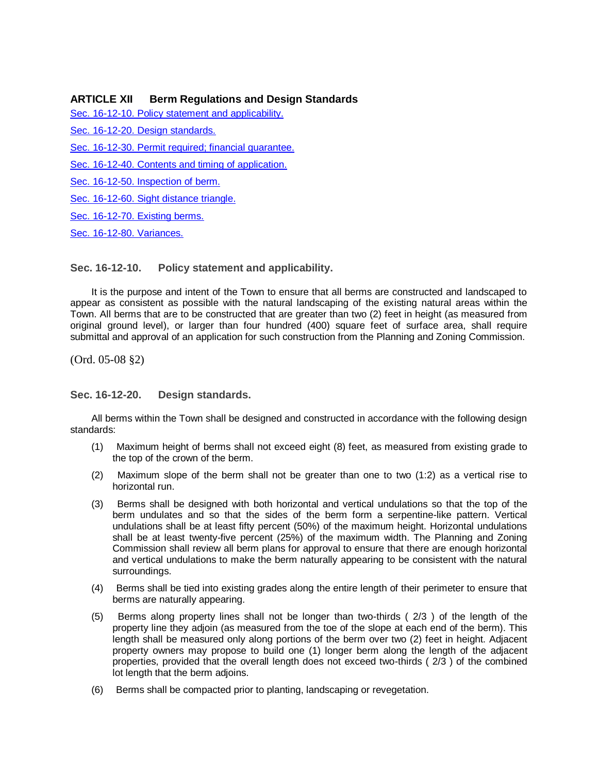## **ARTICLE XII Berm Regulations and Design Standards**

[Sec. 16-12-10. Policy statement and applicability.](#page-1-0)

[Sec. 16-12-20. Design standards.](#page-1-1)

[Sec. 16-12-30. Permit required; financial guarantee.](#page-2-0)

[Sec. 16-12-40. Contents and timing of application.](#page-3-0)

[Sec. 16-12-50. Inspection of berm.](#page-3-1)

[Sec. 16-12-60. Sight distance triangle.](#page-3-2)

[Sec. 16-12-70. Existing berms.](#page-5-0)

<span id="page-1-0"></span>[Sec. 16-12-80. Variances.](#page-5-1)

**Sec. 16-12-10. Policy statement and applicability.**

It is the purpose and intent of the Town to ensure that all berms are constructed and landscaped to appear as consistent as possible with the natural landscaping of the existing natural areas within the Town. All berms that are to be constructed that are greater than two (2) feet in height (as measured from original ground level), or larger than four hundred (400) square feet of surface area, shall require submittal and approval of an application for such construction from the Planning and Zoning Commission.

<span id="page-1-1"></span>(Ord. 05-08 §2)

**Sec. 16-12-20. Design standards.**

All berms within the Town shall be designed and constructed in accordance with the following design standards:

- (1) Maximum height of berms shall not exceed eight (8) feet, as measured from existing grade to the top of the crown of the berm.
- (2) Maximum slope of the berm shall not be greater than one to two (1:2) as a vertical rise to horizontal run.
- (3) Berms shall be designed with both horizontal and vertical undulations so that the top of the berm undulates and so that the sides of the berm form a serpentine-like pattern. Vertical undulations shall be at least fifty percent (50%) of the maximum height. Horizontal undulations shall be at least twenty-five percent (25%) of the maximum width. The Planning and Zoning Commission shall review all berm plans for approval to ensure that there are enough horizontal and vertical undulations to make the berm naturally appearing to be consistent with the natural surroundings.
- (4) Berms shall be tied into existing grades along the entire length of their perimeter to ensure that berms are naturally appearing.
- (5) Berms along property lines shall not be longer than two-thirds ( 2/3 ) of the length of the property line they adjoin (as measured from the toe of the slope at each end of the berm). This length shall be measured only along portions of the berm over two (2) feet in height. Adjacent property owners may propose to build one (1) longer berm along the length of the adjacent properties, provided that the overall length does not exceed two-thirds ( 2/3 ) of the combined lot length that the berm adjoins.
- (6) Berms shall be compacted prior to planting, landscaping or revegetation.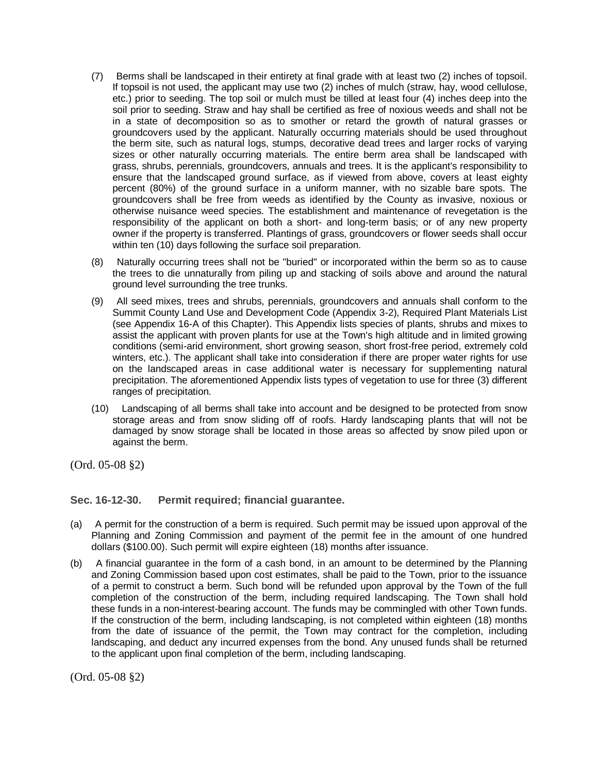- (7) Berms shall be landscaped in their entirety at final grade with at least two (2) inches of topsoil. If topsoil is not used, the applicant may use two (2) inches of mulch (straw, hay, wood cellulose, etc.) prior to seeding. The top soil or mulch must be tilled at least four (4) inches deep into the soil prior to seeding. Straw and hay shall be certified as free of noxious weeds and shall not be in a state of decomposition so as to smother or retard the growth of natural grasses or groundcovers used by the applicant. Naturally occurring materials should be used throughout the berm site, such as natural logs, stumps, decorative dead trees and larger rocks of varying sizes or other naturally occurring materials. The entire berm area shall be landscaped with grass, shrubs, perennials, groundcovers, annuals and trees. It is the applicant's responsibility to ensure that the landscaped ground surface, as if viewed from above, covers at least eighty percent (80%) of the ground surface in a uniform manner, with no sizable bare spots. The groundcovers shall be free from weeds as identified by the County as invasive, noxious or otherwise nuisance weed species. The establishment and maintenance of revegetation is the responsibility of the applicant on both a short- and long-term basis; or of any new property owner if the property is transferred. Plantings of grass, groundcovers or flower seeds shall occur within ten (10) days following the surface soil preparation.
- (8) Naturally occurring trees shall not be "buried" or incorporated within the berm so as to cause the trees to die unnaturally from piling up and stacking of soils above and around the natural ground level surrounding the tree trunks.
- (9) All seed mixes, trees and shrubs, perennials, groundcovers and annuals shall conform to the Summit County Land Use and Development Code (Appendix 3-2), Required Plant Materials List (see Appendix 16-A of this Chapter). This Appendix lists species of plants, shrubs and mixes to assist the applicant with proven plants for use at the Town's high altitude and in limited growing conditions (semi-arid environment, short growing season, short frost-free period, extremely cold winters, etc.). The applicant shall take into consideration if there are proper water rights for use on the landscaped areas in case additional water is necessary for supplementing natural precipitation. The aforementioned Appendix lists types of vegetation to use for three (3) different ranges of precipitation.
- (10) Landscaping of all berms shall take into account and be designed to be protected from snow storage areas and from snow sliding off of roofs. Hardy landscaping plants that will not be damaged by snow storage shall be located in those areas so affected by snow piled upon or against the berm.

<span id="page-2-0"></span>(Ord. 05-08 §2)

# **Sec. 16-12-30. Permit required; financial guarantee.**

- (a) A permit for the construction of a berm is required. Such permit may be issued upon approval of the Planning and Zoning Commission and payment of the permit fee in the amount of one hundred dollars (\$100.00). Such permit will expire eighteen (18) months after issuance.
- (b) A financial guarantee in the form of a cash bond, in an amount to be determined by the Planning and Zoning Commission based upon cost estimates, shall be paid to the Town, prior to the issuance of a permit to construct a berm. Such bond will be refunded upon approval by the Town of the full completion of the construction of the berm, including required landscaping. The Town shall hold these funds in a non-interest-bearing account. The funds may be commingled with other Town funds. If the construction of the berm, including landscaping, is not completed within eighteen (18) months from the date of issuance of the permit, the Town may contract for the completion, including landscaping, and deduct any incurred expenses from the bond. Any unused funds shall be returned to the applicant upon final completion of the berm, including landscaping.

(Ord. 05-08 §2)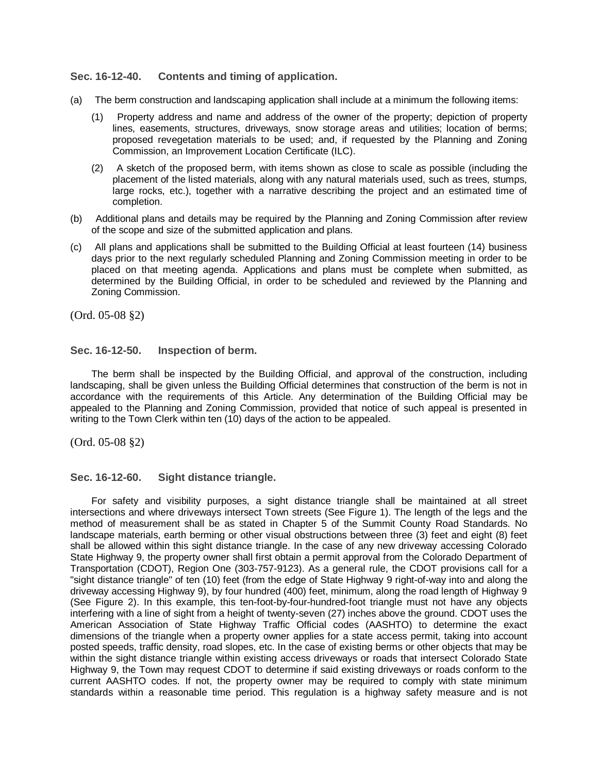## <span id="page-3-0"></span>**Sec. 16-12-40. Contents and timing of application.**

- (a) The berm construction and landscaping application shall include at a minimum the following items:
	- (1) Property address and name and address of the owner of the property; depiction of property lines, easements, structures, driveways, snow storage areas and utilities; location of berms; proposed revegetation materials to be used; and, if requested by the Planning and Zoning Commission, an Improvement Location Certificate (ILC).
	- (2) A sketch of the proposed berm, with items shown as close to scale as possible (including the placement of the listed materials, along with any natural materials used, such as trees, stumps, large rocks, etc.), together with a narrative describing the project and an estimated time of completion.
- (b) Additional plans and details may be required by the Planning and Zoning Commission after review of the scope and size of the submitted application and plans.
- (c) All plans and applications shall be submitted to the Building Official at least fourteen (14) business days prior to the next regularly scheduled Planning and Zoning Commission meeting in order to be placed on that meeting agenda. Applications and plans must be complete when submitted, as determined by the Building Official, in order to be scheduled and reviewed by the Planning and Zoning Commission.

<span id="page-3-1"></span>(Ord. 05-08 §2)

#### **Sec. 16-12-50. Inspection of berm.**

The berm shall be inspected by the Building Official, and approval of the construction, including landscaping, shall be given unless the Building Official determines that construction of the berm is not in accordance with the requirements of this Article. Any determination of the Building Official may be appealed to the Planning and Zoning Commission, provided that notice of such appeal is presented in writing to the Town Clerk within ten (10) days of the action to be appealed.

<span id="page-3-2"></span>(Ord. 05-08 §2)

**Sec. 16-12-60. Sight distance triangle.**

For safety and visibility purposes, a sight distance triangle shall be maintained at all street intersections and where driveways intersect Town streets (See Figure 1). The length of the legs and the method of measurement shall be as stated in Chapter 5 of the Summit County Road Standards. No landscape materials, earth berming or other visual obstructions between three (3) feet and eight (8) feet shall be allowed within this sight distance triangle. In the case of any new driveway accessing Colorado State Highway 9, the property owner shall first obtain a permit approval from the Colorado Department of Transportation (CDOT), Region One (303-757-9123). As a general rule, the CDOT provisions call for a "sight distance triangle" of ten (10) feet (from the edge of State Highway 9 right-of-way into and along the driveway accessing Highway 9), by four hundred (400) feet, minimum, along the road length of Highway 9 (See Figure 2). In this example, this ten-foot-by-four-hundred-foot triangle must not have any objects interfering with a line of sight from a height of twenty-seven (27) inches above the ground. CDOT uses the American Association of State Highway Traffic Official codes (AASHTO) to determine the exact dimensions of the triangle when a property owner applies for a state access permit, taking into account posted speeds, traffic density, road slopes, etc. In the case of existing berms or other objects that may be within the sight distance triangle within existing access driveways or roads that intersect Colorado State Highway 9, the Town may request CDOT to determine if said existing driveways or roads conform to the current AASHTO codes. If not, the property owner may be required to comply with state minimum standards within a reasonable time period. This regulation is a highway safety measure and is not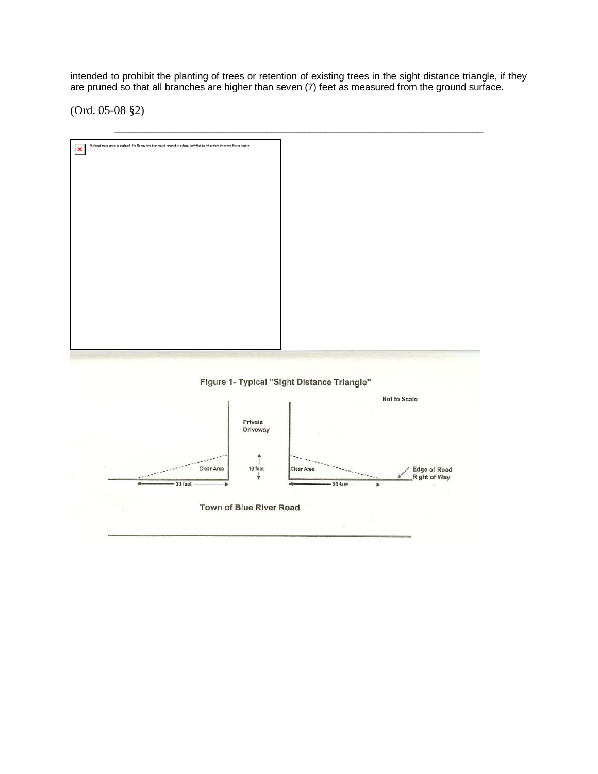intended to prohibit the planting of trees or retention of existing trees in the sight distance triangle, if they are pruned so that all branches are higher than seven (7) feet as measured from the ground surface.

(Ord. 05-08 §2)